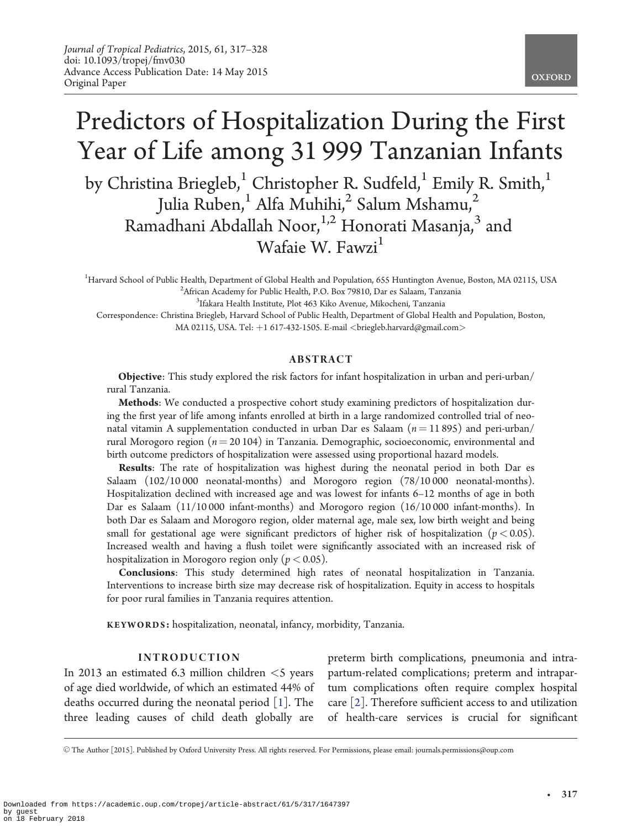# Predictors of Hospitalization During the First Year of Life among 31 999 Tanzanian Infants by Christina Briegleb,<sup>1</sup> Christopher R. Sudfeld,<sup>1</sup> Emily R. Smith,<sup>1</sup>

Julia Ruben,<sup>1</sup> Alfa Muhihi,<sup>2</sup> Salum Mshamu,<sup>2</sup> Ramadhani Abdallah Noor,<sup>1,2</sup> Honorati Masanja,<sup>3</sup> and Wafaie W. Fawzi $<sup>1</sup>$ </sup>

<sup>1</sup>Harvard School of Public Health, Department of Global Health and Population, 655 Huntington Avenue, Boston, MA 02115, USA <sup>2</sup> African Academy for Public Health P.O. Box 79810. Dar es Salaam Tanzania <sup>2</sup>African Academy for Public Health, P.O. Box 79810, Dar es Salaam, Tanzania

<sup>3</sup>Ifakara Health Institute, Plot 463 Kiko Avenue, Mikocheni, Tanzania

Correspondence: Christina Briegleb, Harvard School of Public Health, Department of Global Health and Population, Boston, MA 02115, USA. Tel: +1 617-432-1505. E-mail <br/> <br/> <br/> <br/> <br/> <br/> <br/> <br/> <br/> <br/>MA 02115, USA. Tel: +1 617-432-1505. E-mail <br/> <br/> <br/> <br/><br/><br/> $\label{eq:1}$ 

# ABSTRACT

Objective: This study explored the risk factors for infant hospitalization in urban and peri-urban/ rural Tanzania.

Methods: We conducted a prospective cohort study examining predictors of hospitalization during the first year of life among infants enrolled at birth in a large randomized controlled trial of neonatal vitamin A supplementation conducted in urban Dar es Salaam  $(n = 11 895)$  and peri-urban/ rural Morogoro region ( $n = 20104$ ) in Tanzania. Demographic, socioeconomic, environmental and birth outcome predictors of hospitalization were assessed using proportional hazard models.

Results: The rate of hospitalization was highest during the neonatal period in both Dar es Salaam (102/10 000 neonatal-months) and Morogoro region (78/10 000 neonatal-months). Hospitalization declined with increased age and was lowest for infants 6–12 months of age in both Dar es Salaam (11/10 000 infant-months) and Morogoro region (16/10 000 infant-months). In both Dar es Salaam and Morogoro region, older maternal age, male sex, low birth weight and being small for gestational age were significant predictors of higher risk of hospitalization ( $p < 0.05$ ). Increased wealth and having a flush toilet were significantly associated with an increased risk of hospitalization in Morogoro region only ( $p < 0.05$ ).

Conclusions: This study determined high rates of neonatal hospitalization in Tanzania. Interventions to increase birth size may decrease risk of hospitalization. Equity in access to hospitals for poor rural families in Tanzania requires attention.

KEYWORDS: hospitalization, neonatal, infancy, morbidity, Tanzania.

#### INTRODUCTION

In 2013 an estimated 6.3 million children  $\leq$ 5 years of age died worldwide, of which an estimated 44% of deaths occurred during the neonatal period [[1\]](#page-7-0). The three leading causes of child death globally are

preterm birth complications, pneumonia and intrapartum-related complications; preterm and intrapartum complications often require complex hospital care [\[2](#page-7-0)]. Therefore sufficient access to and utilization of health-care services is crucial for significant

V<sup>C</sup> The Author [2015]. Published by Oxford University Press. All rights reserved. For Permissions, please email: journals.permissions@oup.com

-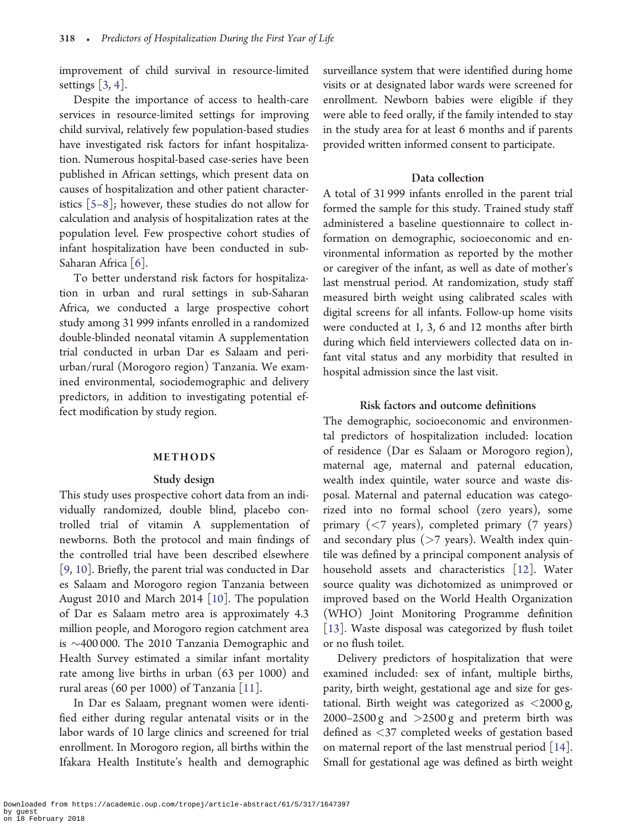improvement of child survival in resource-limited settings  $\left[3, 4\right]$  $\left[3, 4\right]$  $\left[3, 4\right]$ .

Despite the importance of access to health-care services in resource-limited settings for improving child survival, relatively few population-based studies have investigated risk factors for infant hospitalization. Numerous hospital-based case-series have been published in African settings, which present data on causes of hospitalization and other patient characteristics [\[5–8](#page-7-0)]; however, these studies do not allow for calculation and analysis of hospitalization rates at the population level. Few prospective cohort studies of infant hospitalization have been conducted in sub-Saharan Africa [\[6](#page-7-0)].

To better understand risk factors for hospitalization in urban and rural settings in sub-Saharan Africa, we conducted a large prospective cohort study among 31 999 infants enrolled in a randomized double-blinded neonatal vitamin A supplementation trial conducted in urban Dar es Salaam and periurban/rural (Morogoro region) Tanzania. We examined environmental, sociodemographic and delivery predictors, in addition to investigating potential effect modification by study region.

#### METHODS

# Study design

This study uses prospective cohort data from an individually randomized, double blind, placebo controlled trial of vitamin A supplementation of newborns. Both the protocol and main findings of the controlled trial have been described elsewhere [[9,](#page-7-0) [10](#page-7-0)]. Briefly, the parent trial was conducted in Dar es Salaam and Morogoro region Tanzania between August 2010 and March 2014 [\[10\]](#page-7-0). The population of Dar es Salaam metro area is approximately 4.3 million people, and Morogoro region catchment area is  $\sim$ 400 000. The 2010 Tanzania Demographic and Health Survey estimated a similar infant mortality rate among live births in urban (63 per 1000) and rural areas (60 per 1000) of Tanzania [[11\]](#page-7-0).

In Dar es Salaam, pregnant women were identified either during regular antenatal visits or in the labor wards of 10 large clinics and screened for trial enrollment. In Morogoro region, all births within the Ifakara Health Institute's health and demographic surveillance system that were identified during home visits or at designated labor wards were screened for enrollment. Newborn babies were eligible if they were able to feed orally, if the family intended to stay in the study area for at least 6 months and if parents provided written informed consent to participate.

#### Data collection

A total of 31 999 infants enrolled in the parent trial formed the sample for this study. Trained study staff administered a baseline questionnaire to collect information on demographic, socioeconomic and environmental information as reported by the mother or caregiver of the infant, as well as date of mother's last menstrual period. At randomization, study staff measured birth weight using calibrated scales with digital screens for all infants. Follow-up home visits were conducted at 1, 3, 6 and 12 months after birth during which field interviewers collected data on infant vital status and any morbidity that resulted in hospital admission since the last visit.

# Risk factors and outcome definitions

The demographic, socioeconomic and environmental predictors of hospitalization included: location of residence (Dar es Salaam or Morogoro region), maternal age, maternal and paternal education, wealth index quintile, water source and waste disposal. Maternal and paternal education was categorized into no formal school (zero years), some primary  $(< 7$  years), completed primary  $(7 \text{ years})$ and secondary plus (>7 years). Wealth index quintile was defined by a principal component analysis of household assets and characteristics [\[12](#page-7-0)]. Water source quality was dichotomized as unimproved or improved based on the World Health Organization (WHO) Joint Monitoring Programme definition [[13\]](#page-7-0). Waste disposal was categorized by flush toilet or no flush toilet.

Delivery predictors of hospitalization that were examined included: sex of infant, multiple births, parity, birth weight, gestational age and size for gestational. Birth weight was categorized as  $\langle 2000 \text{ g},$  $2000-2500$  g and  $>2500$  g and preterm birth was defined as <37 completed weeks of gestation based on maternal report of the last menstrual period [[14\]](#page-7-0). Small for gestational age was defined as birth weight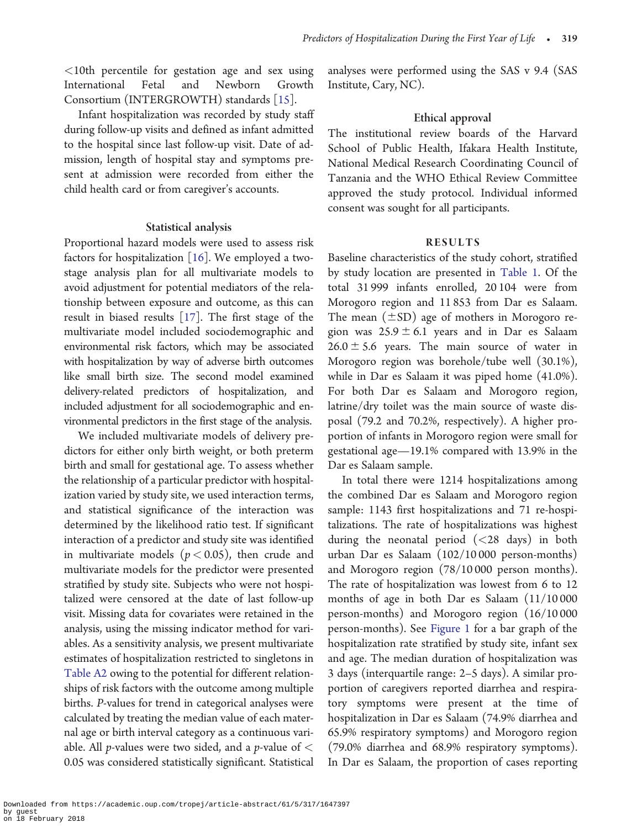<10th percentile for gestation age and sex using International Fetal and Newborn Growth Consortium (INTERGROWTH) standards [[15\]](#page-7-0).

Infant hospitalization was recorded by study staff during follow-up visits and defined as infant admitted to the hospital since last follow-up visit. Date of admission, length of hospital stay and symptoms present at admission were recorded from either the child health card or from caregiver's accounts.

# Statistical analysis

Proportional hazard models were used to assess risk factors for hospitalization [[16](#page-7-0)]. We employed a twostage analysis plan for all multivariate models to avoid adjustment for potential mediators of the relationship between exposure and outcome, as this can result in biased results [[17\]](#page-7-0). The first stage of the multivariate model included sociodemographic and environmental risk factors, which may be associated with hospitalization by way of adverse birth outcomes like small birth size. The second model examined delivery-related predictors of hospitalization, and included adjustment for all sociodemographic and environmental predictors in the first stage of the analysis.

We included multivariate models of delivery predictors for either only birth weight, or both preterm birth and small for gestational age. To assess whether the relationship of a particular predictor with hospitalization varied by study site, we used interaction terms, and statistical significance of the interaction was determined by the likelihood ratio test. If significant interaction of a predictor and study site was identified in multivariate models ( $p < 0.05$ ), then crude and multivariate models for the predictor were presented stratified by study site. Subjects who were not hospitalized were censored at the date of last follow-up visit. Missing data for covariates were retained in the analysis, using the missing indicator method for variables. As a sensitivity analysis, we present multivariate estimates of hospitalization restricted to singletons in [Table A2](#page-11-0) owing to the potential for different relationships of risk factors with the outcome among multiple births. P-values for trend in categorical analyses were calculated by treating the median value of each maternal age or birth interval category as a continuous variable. All *p*-values were two sided, and a *p*-value of  $\lt$ 0.05 was considered statistically significant. Statistical analyses were performed using the SAS v 9.4 (SAS Institute, Cary, NC).

#### Ethical approval

The institutional review boards of the Harvard School of Public Health, Ifakara Health Institute, National Medical Research Coordinating Council of Tanzania and the WHO Ethical Review Committee approved the study protocol. Individual informed consent was sought for all participants.

#### RESULTS

Baseline characteristics of the study cohort, stratified by study location are presented in [Table 1.](#page-3-0) Of the total 31 999 infants enrolled, 20 104 were from Morogoro region and 11 853 from Dar es Salaam. The mean  $(\pm SD)$  age of mothers in Morogoro region was  $25.9 \pm 6.1$  years and in Dar es Salaam  $26.0 \pm 5.6$  years. The main source of water in Morogoro region was borehole/tube well (30.1%), while in Dar es Salaam it was piped home (41.0%). For both Dar es Salaam and Morogoro region, latrine/dry toilet was the main source of waste disposal (79.2 and 70.2%, respectively). A higher proportion of infants in Morogoro region were small for gestational age—19.1% compared with 13.9% in the Dar es Salaam sample.

In total there were 1214 hospitalizations among the combined Dar es Salaam and Morogoro region sample: 1143 first hospitalizations and 71 re-hospitalizations. The rate of hospitalizations was highest during the neonatal period (<28 days) in both urban Dar es Salaam (102/10 000 person-months) and Morogoro region (78/10 000 person months). The rate of hospitalization was lowest from 6 to 12 months of age in both Dar es Salaam (11/10 000 person-months) and Morogoro region (16/10 000 person-months). See [Figure 1](#page-4-0) for a bar graph of the hospitalization rate stratified by study site, infant sex and age. The median duration of hospitalization was 3 days (interquartile range: 2–5 days). A similar proportion of caregivers reported diarrhea and respiratory symptoms were present at the time of hospitalization in Dar es Salaam (74.9% diarrhea and 65.9% respiratory symptoms) and Morogoro region (79.0% diarrhea and 68.9% respiratory symptoms). In Dar es Salaam, the proportion of cases reporting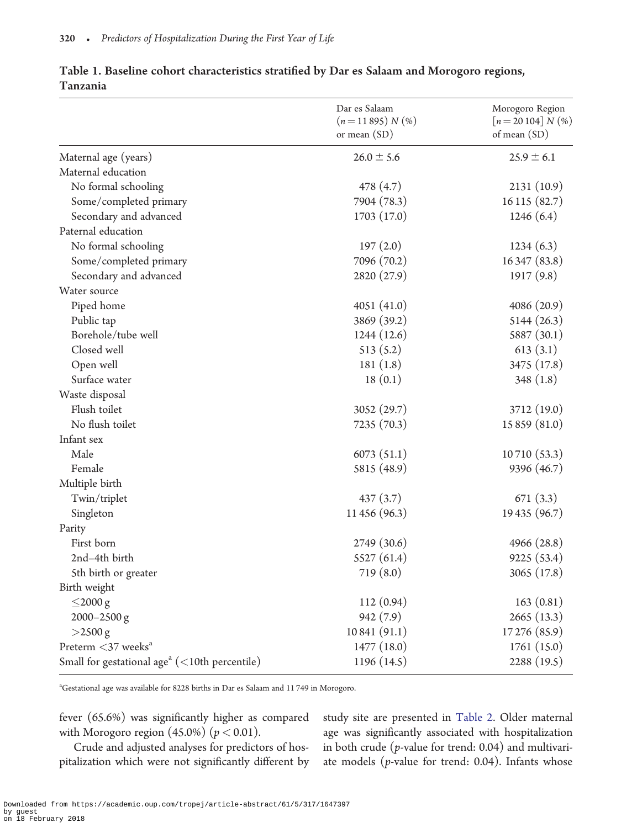|                                                           | Dar es Salaam<br>$(n=11895) N$ (%)<br>or mean $(SD)$ | Morogoro Region<br>$[n = 20104] N$ (%)<br>of mean (SD) |
|-----------------------------------------------------------|------------------------------------------------------|--------------------------------------------------------|
| Maternal age (years)                                      | $26.0 \pm 5.6$                                       | $25.9 \pm 6.1$                                         |
| Maternal education                                        |                                                      |                                                        |
| No formal schooling                                       | 478 (4.7)                                            | 2131(10.9)                                             |
| Some/completed primary                                    | 7904 (78.3)                                          | 16 115 (82.7)                                          |
| Secondary and advanced                                    | 1703 (17.0)                                          | 1246(6.4)                                              |
| Paternal education                                        |                                                      |                                                        |
| No formal schooling                                       | 197(2.0)                                             | 1234(6.3)                                              |
| Some/completed primary                                    | 7096 (70.2)                                          | 16347 (83.8)                                           |
| Secondary and advanced                                    | 2820 (27.9)                                          | 1917(9.8)                                              |
| Water source                                              |                                                      |                                                        |
| Piped home                                                | 4051(41.0)                                           | 4086 (20.9)                                            |
| Public tap                                                | 3869 (39.2)                                          | 5144(26.3)                                             |
| Borehole/tube well                                        | 1244(12.6)                                           | 5887 (30.1)                                            |
| Closed well                                               | 513(5.2)                                             | 613(3.1)                                               |
| Open well                                                 | 181(1.8)                                             | 3475 (17.8)                                            |
| Surface water                                             | 18(0.1)                                              | 348(1.8)                                               |
| Waste disposal                                            |                                                      |                                                        |
| Flush toilet                                              | 3052 (29.7)                                          | 3712 (19.0)                                            |
| No flush toilet                                           | 7235 (70.3)                                          | 15 859 (81.0)                                          |
| Infant sex                                                |                                                      |                                                        |
| Male                                                      | 6073(51.1)                                           | 10710 (53.3)                                           |
| Female                                                    | 5815 (48.9)                                          | 9396 (46.7)                                            |
| Multiple birth                                            |                                                      |                                                        |
| Twin/triplet                                              | 437(3.7)                                             | 671(3.3)                                               |
| Singleton                                                 | 11 456 (96.3)                                        | 19 435 (96.7)                                          |
| Parity                                                    |                                                      |                                                        |
| First born                                                | 2749 (30.6)                                          | 4966 (28.8)                                            |
| 2nd-4th birth                                             | 5527(61.4)                                           | 9225 (53.4)                                            |
| 5th birth or greater                                      | 719(8.0)                                             | 3065 (17.8)                                            |
| Birth weight                                              |                                                      |                                                        |
| $\leq$ 2000 g                                             | 112(0.94)                                            | 163(0.81)                                              |
| 2000-2500 g                                               | 942 (7.9)                                            | 2665(13.3)                                             |
| >2500 g                                                   | 10841(91.1)                                          | 17 276 (85.9)                                          |
| Preterm $<$ 37 weeks <sup>a</sup>                         | 1477 (18.0)                                          | 1761(15.0)                                             |
| Small for gestational age <sup>a</sup> (<10th percentile) | 1196 (14.5)                                          | 2288 (19.5)                                            |

# <span id="page-3-0"></span>Table 1. Baseline cohort characteristics stratified by Dar es Salaam and Morogoro regions, Tanzania

a Gestational age was available for 8228 births in Dar es Salaam and 11 749 in Morogoro.

fever (65.6%) was significantly higher as compared with Morogoro region (45.0%) ( $p < 0.01$ ).

Crude and adjusted analyses for predictors of hospitalization which were not significantly different by study site are presented in [Table 2.](#page-5-0) Older maternal age was significantly associated with hospitalization in both crude (p-value for trend: 0.04) and multivariate models ( $p$ -value for trend: 0.04). Infants whose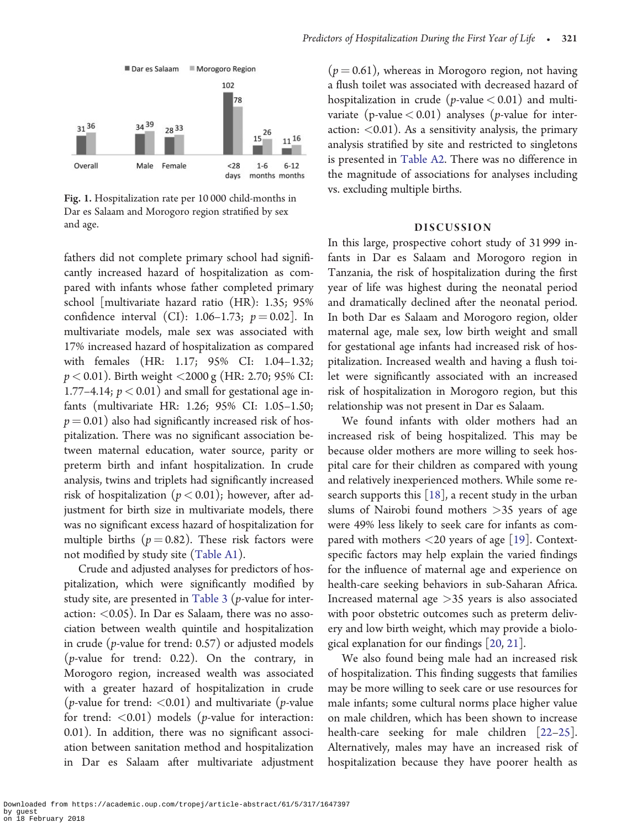<span id="page-4-0"></span>

Fig. 1. Hospitalization rate per 10 000 child-months in Dar es Salaam and Morogoro region stratified by sex and age.

fathers did not complete primary school had significantly increased hazard of hospitalization as compared with infants whose father completed primary school [multivariate hazard ratio (HR): 1.35; 95% confidence interval (CI): 1.06–1.73;  $p = 0.02$ ]. In multivariate models, male sex was associated with 17% increased hazard of hospitalization as compared with females (HR: 1.17; 95% CI: 1.04–1.32;  $p < 0.01$ ). Birth weight  $<$ 2000 g (HR: 2.70; 95% CI: 1.77–4.14;  $p < 0.01$ ) and small for gestational age infants (multivariate HR: 1.26; 95% CI: 1.05–1.50;  $p = 0.01$ ) also had significantly increased risk of hospitalization. There was no significant association between maternal education, water source, parity or preterm birth and infant hospitalization. In crude analysis, twins and triplets had significantly increased risk of hospitalization ( $p < 0.01$ ); however, after adjustment for birth size in multivariate models, there was no significant excess hazard of hospitalization for multiple births ( $p = 0.82$ ). These risk factors were not modified by study site ([Table A1](#page-9-0)).

Crude and adjusted analyses for predictors of hospitalization, which were significantly modified by study site, are presented in [Table 3](#page-6-0) ( $p$ -value for interaction:  $<$  0.05). In Dar es Salaam, there was no association between wealth quintile and hospitalization in crude (p-value for trend: 0.57) or adjusted models (p-value for trend: 0.22). On the contrary, in Morogoro region, increased wealth was associated with a greater hazard of hospitalization in crude (*p*-value for trend:  $\langle 0.01 \rangle$  and multivariate (*p*-value for trend:  $\langle 0.01 \rangle$  models (*p*-value for interaction: 0.01). In addition, there was no significant association between sanitation method and hospitalization in Dar es Salaam after multivariate adjustment  $(p = 0.61)$ , whereas in Morogoro region, not having a flush toilet was associated with decreased hazard of hospitalization in crude ( $p$ -value  $< 0.01$ ) and multivariate (p-value  $< 0.01$ ) analyses (p-value for interaction:  $<$  0.01). As a sensitivity analysis, the primary analysis stratified by site and restricted to singletons is presented in [Table A2.](#page-11-0) There was no difference in the magnitude of associations for analyses including vs. excluding multiple births.

#### DISCUSSION

In this large, prospective cohort study of 31 999 infants in Dar es Salaam and Morogoro region in Tanzania, the risk of hospitalization during the first year of life was highest during the neonatal period and dramatically declined after the neonatal period. In both Dar es Salaam and Morogoro region, older maternal age, male sex, low birth weight and small for gestational age infants had increased risk of hospitalization. Increased wealth and having a flush toilet were significantly associated with an increased risk of hospitalization in Morogoro region, but this relationship was not present in Dar es Salaam.

We found infants with older mothers had an increased risk of being hospitalized. This may be because older mothers are more willing to seek hospital care for their children as compared with young and relatively inexperienced mothers. While some research supports this  $[18]$  $[18]$ , a recent study in the urban slums of Nairobi found mothers >35 years of age were 49% less likely to seek care for infants as compared with mothers <20 years of age [[19\]](#page-8-0). Contextspecific factors may help explain the varied findings for the influence of maternal age and experience on health-care seeking behaviors in sub-Saharan Africa. Increased maternal age  $>35$  years is also associated with poor obstetric outcomes such as preterm delivery and low birth weight, which may provide a biological explanation for our findings [\[20,](#page-8-0) [21](#page-8-0)].

We also found being male had an increased risk of hospitalization. This finding suggests that families may be more willing to seek care or use resources for male infants; some cultural norms place higher value on male children, which has been shown to increase health-care seeking for male children [[22–25\]](#page-8-0). Alternatively, males may have an increased risk of hospitalization because they have poorer health as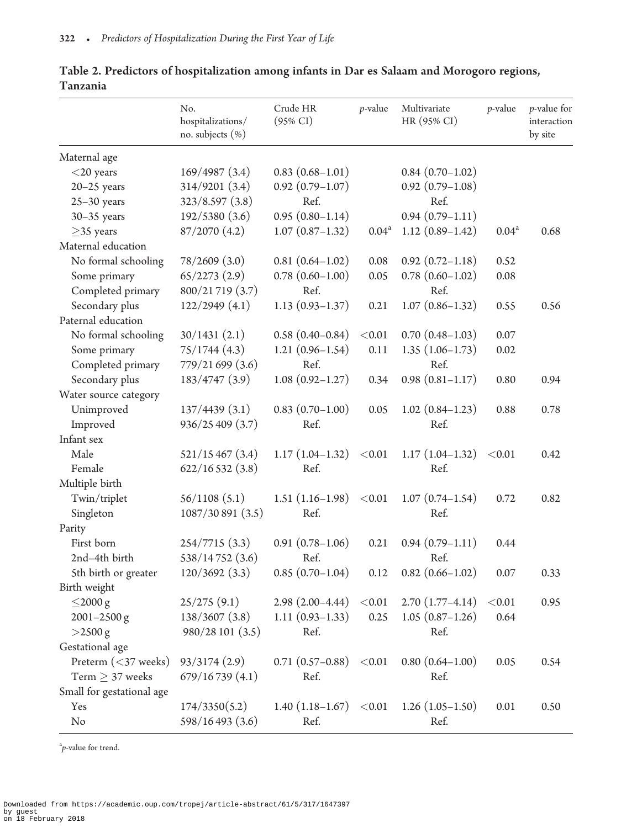|                           | No.<br>hospitalizations/<br>no. subjects (%) | Crude HR<br>$(95\% \text{ CI})$ | $p$ -value     | Multivariate<br>HR (95% CI) | $p$ -value        | $p$ -value for<br>interaction<br>by site |
|---------------------------|----------------------------------------------|---------------------------------|----------------|-----------------------------|-------------------|------------------------------------------|
| Maternal age              |                                              |                                 |                |                             |                   |                                          |
| $<$ 20 years              | 169/4987(3.4)                                | $0.83(0.68 - 1.01)$             |                | $0.84(0.70-1.02)$           |                   |                                          |
| $20 - 25$ years           | 314/9201(3.4)                                | $0.92(0.79-1.07)$               |                | $0.92(0.79-1.08)$           |                   |                                          |
| $25-30$ years             | 323/8.597(3.8)                               | Ref.                            |                | Ref.                        |                   |                                          |
| $30-35$ years             | 192/5380 (3.6)                               | $0.95(0.80-1.14)$               |                | $0.94(0.79-1.11)$           |                   |                                          |
| $\geq$ 35 years           | 87/2070 (4.2)                                | $1.07(0.87-1.32)$               | $0.04^{\rm a}$ | $1.12(0.89-1.42)$           | 0.04 <sup>a</sup> | 0.68                                     |
| Maternal education        |                                              |                                 |                |                             |                   |                                          |
| No formal schooling       | 78/2609(3.0)                                 | $0.81(0.64 - 1.02)$             | 0.08           | $0.92(0.72 - 1.18)$         | 0.52              |                                          |
| Some primary              | 65/2273(2.9)                                 | $0.78(0.60 - 1.00)$             | 0.05           | $0.78(0.60 - 1.02)$         | 0.08              |                                          |
| Completed primary         | 800/21719 (3.7)                              | Ref.                            |                | Ref.                        |                   |                                          |
| Secondary plus            | 122/2949(4.1)                                | $1.13(0.93 - 1.37)$             | 0.21           | $1.07(0.86 - 1.32)$         | 0.55              | 0.56                                     |
| Paternal education        |                                              |                                 |                |                             |                   |                                          |
| No formal schooling       | 30/1431(2.1)                                 | $0.58(0.40 - 0.84)$             | $<\!\!0.01$    | $0.70(0.48-1.03)$           | 0.07              |                                          |
| Some primary              | 75/1744(4.3)                                 | $1.21(0.96-1.54)$               | 0.11           | $1.35(1.06-1.73)$           | 0.02              |                                          |
| Completed primary         | 779/21 699 (3.6)                             | Ref.                            |                | Ref.                        |                   |                                          |
| Secondary plus            | 183/4747 (3.9)                               | $1.08(0.92 - 1.27)$             | 0.34           | $0.98(0.81 - 1.17)$         | 0.80              | 0.94                                     |
| Water source category     |                                              |                                 |                |                             |                   |                                          |
| Unimproved                | 137/4439(3.1)                                | $0.83(0.70-1.00)$               | 0.05           | $1.02(0.84-1.23)$           | 0.88              | 0.78                                     |
| Improved                  | 936/25 409 (3.7)                             | Ref.                            |                | Ref.                        |                   |                                          |
| Infant sex                |                                              |                                 |                |                             |                   |                                          |
| Male                      | 521/15467(3.4)                               | $1.17(1.04-1.32)$               | < 0.01         | $1.17(1.04-1.32)$           | < 0.01            | 0.42                                     |
| Female                    | 622/16532(3.8)                               | Ref.                            |                | Ref.                        |                   |                                          |
| Multiple birth            |                                              |                                 |                |                             |                   |                                          |
| Twin/triplet              | 56/1108(5.1)                                 | $1.51(1.16-1.98)$               | < 0.01         | $1.07(0.74 - 1.54)$         | 0.72              | 0.82                                     |
| Singleton                 | 1087/30 891 (3.5)                            | Ref.                            |                | Ref.                        |                   |                                          |
| Parity                    |                                              |                                 |                |                             |                   |                                          |
| First born                | 254/7715 (3.3)                               | $0.91(0.78-1.06)$               | 0.21           | $0.94(0.79-1.11)$           | 0.44              |                                          |
| 2nd-4th birth             | 538/14752 (3.6)                              | Ref.                            |                | Ref.                        |                   |                                          |
| 5th birth or greater      | 120/3692(3.3)                                | $0.85(0.70-1.04)$               | 0.12           | $0.82(0.66 - 1.02)$         | 0.07              | 0.33                                     |
| Birth weight              |                                              |                                 |                |                             |                   |                                          |
| $\leq$ 2000 g             | 25/275(9.1)                                  | $2.98(2.00-4.44)$               | < 0.01         | $2.70(1.77-4.14)$           | < 0.01            | 0.95                                     |
| $2001 - 2500$ g           | 138/3607 (3.8)                               | $1.11(0.93-1.33)$               | 0.25           | $1.05(0.87-1.26)$           | 0.64              |                                          |
| $>2500 g$                 | 980/28 101 (3.5)                             | Ref.                            |                | Ref.                        |                   |                                          |
| Gestational age           |                                              |                                 |                |                             |                   |                                          |
| Preterm $(<$ 37 weeks)    | 93/3174(2.9)                                 | $0.71(0.57-0.88)$               | < 0.01         | $0.80(0.64 - 1.00)$         | 0.05              | 0.54                                     |
| Term $\geq$ 37 weeks      | 679/16739(4.1)                               | Ref.                            |                | Ref.                        |                   |                                          |
| Small for gestational age |                                              |                                 |                |                             |                   |                                          |
| Yes                       | 174/3350(5.2)                                | $1.40(1.18-1.67)$               | < 0.01         | $1.26(1.05-1.50)$           | 0.01              | 0.50                                     |
| No                        | 598/16 493 (3.6)                             | Ref.                            |                | Ref.                        |                   |                                          |

<span id="page-5-0"></span>Table 2. Predictors of hospitalization among infants in Dar es Salaam and Morogoro regions, Tanzania

a p-value for trend.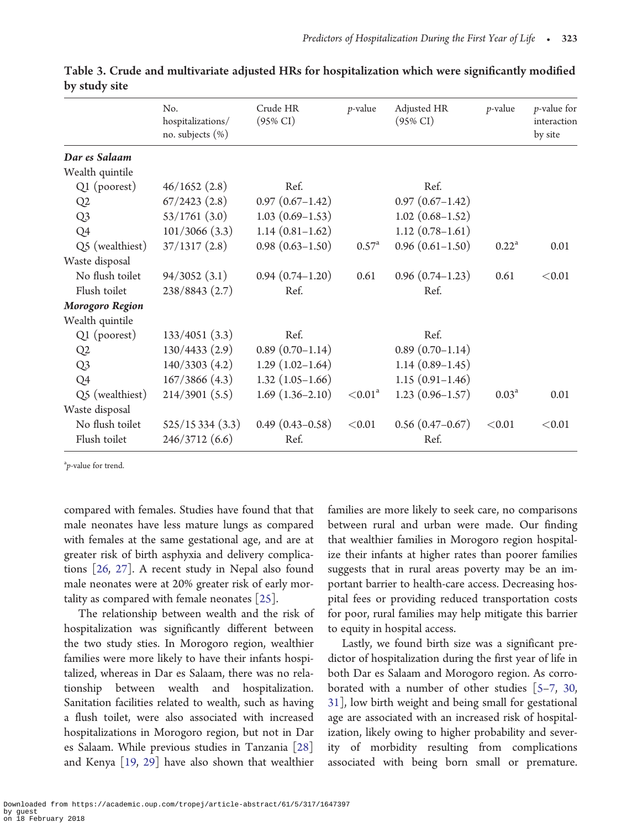|                 | No.<br>hospitalizations/<br>no. subjects $(\%)$ | Crude HR<br>$(95\% \text{ CI})$ | $p$ -value          | Adjusted HR<br>$(95\% \text{ CI})$ | $p$ -value     | <i>p</i> -value for<br>interaction<br>by site |
|-----------------|-------------------------------------------------|---------------------------------|---------------------|------------------------------------|----------------|-----------------------------------------------|
| Dar es Salaam   |                                                 |                                 |                     |                                    |                |                                               |
| Wealth quintile |                                                 |                                 |                     |                                    |                |                                               |
| Q1 (poorest)    | 46/1652(2.8)                                    | Ref.                            |                     | Ref.                               |                |                                               |
| Q <sub>2</sub>  | 67/2423(2.8)                                    | $0.97(0.67-1.42)$               |                     | $0.97(0.67-1.42)$                  |                |                                               |
| Q <sub>3</sub>  | 53/1761(3.0)                                    | $1.03(0.69-1.53)$               |                     | $1.02(0.68 - 1.52)$                |                |                                               |
| Q4              | 101/3066 (3.3)                                  | $1.14(0.81-1.62)$               |                     | $1.12(0.78-1.61)$                  |                |                                               |
| Q5 (wealthiest) | 37/1317(2.8)                                    | $0.98(0.63 - 1.50)$             | $0.57^{\rm a}$      | $0.96(0.61 - 1.50)$                | $0.22^a$       | 0.01                                          |
| Waste disposal  |                                                 |                                 |                     |                                    |                |                                               |
| No flush toilet | 94/3052(3.1)                                    | $0.94(0.74 - 1.20)$             | 0.61                | $0.96(0.74-1.23)$                  | 0.61           | < 0.01                                        |
| Flush toilet    | 238/8843 (2.7)                                  | Ref.                            |                     | Ref.                               |                |                                               |
| Morogoro Region |                                                 |                                 |                     |                                    |                |                                               |
| Wealth quintile |                                                 |                                 |                     |                                    |                |                                               |
| Q1 (poorest)    | 133/4051 (3.3)                                  | Ref.                            |                     | Ref.                               |                |                                               |
| Q2              | 130/4433 (2.9)                                  | $0.89(0.70-1.14)$               |                     | $0.89(0.70-1.14)$                  |                |                                               |
| Q <sub>3</sub>  | 140/3303 (4.2)                                  | $1.29(1.02-1.64)$               |                     | $1.14(0.89-1.45)$                  |                |                                               |
| Q4              | 167/3866 (4.3)                                  | $1.32(1.05-1.66)$               |                     | $1.15(0.91-1.46)$                  |                |                                               |
| Q5 (wealthiest) | $214/3901$ (5.5)                                | $1.69(1.36-2.10)$               | < 0.01 <sup>a</sup> | $1.23(0.96 - 1.57)$                | $0.03^{\rm a}$ | 0.01                                          |
| Waste disposal  |                                                 |                                 |                     |                                    |                |                                               |
| No flush toilet | 525/15334(3.3)                                  | $0.49(0.43 - 0.58)$             | < 0.01              | $0.56(0.47-0.67)$                  | < 0.01         | < 0.01                                        |
| Flush toilet    | 246/3712 (6.6)                                  | Ref.                            |                     | Ref.                               |                |                                               |

<span id="page-6-0"></span>

|               | Table 3. Crude and multivariate adjusted HRs for hospitalization which were significantly modified |  |  |  |
|---------------|----------------------------------------------------------------------------------------------------|--|--|--|
| by study site |                                                                                                    |  |  |  |

a p-value for trend.

compared with females. Studies have found that that male neonates have less mature lungs as compared with females at the same gestational age, and are at greater risk of birth asphyxia and delivery complications [\[26](#page-8-0), [27](#page-8-0)]. A recent study in Nepal also found male neonates were at 20% greater risk of early mortality as compared with female neonates [\[25](#page-8-0)].

The relationship between wealth and the risk of hospitalization was significantly different between the two study sties. In Morogoro region, wealthier families were more likely to have their infants hospitalized, whereas in Dar es Salaam, there was no relationship between wealth and hospitalization. Sanitation facilities related to wealth, such as having a flush toilet, were also associated with increased hospitalizations in Morogoro region, but not in Dar es Salaam. While previous studies in Tanzania [[28\]](#page-8-0) and Kenya [[19,](#page-8-0) [29](#page-8-0)] have also shown that wealthier

families are more likely to seek care, no comparisons between rural and urban were made. Our finding that wealthier families in Morogoro region hospitalize their infants at higher rates than poorer families suggests that in rural areas poverty may be an important barrier to health-care access. Decreasing hospital fees or providing reduced transportation costs for poor, rural families may help mitigate this barrier to equity in hospital access.

Lastly, we found birth size was a significant predictor of hospitalization during the first year of life in both Dar es Salaam and Morogoro region. As corroborated with a number of other studies [\[5–7](#page-7-0), [30,](#page-8-0) [31\]](#page-8-0), low birth weight and being small for gestational age are associated with an increased risk of hospitalization, likely owing to higher probability and severity of morbidity resulting from complications associated with being born small or premature.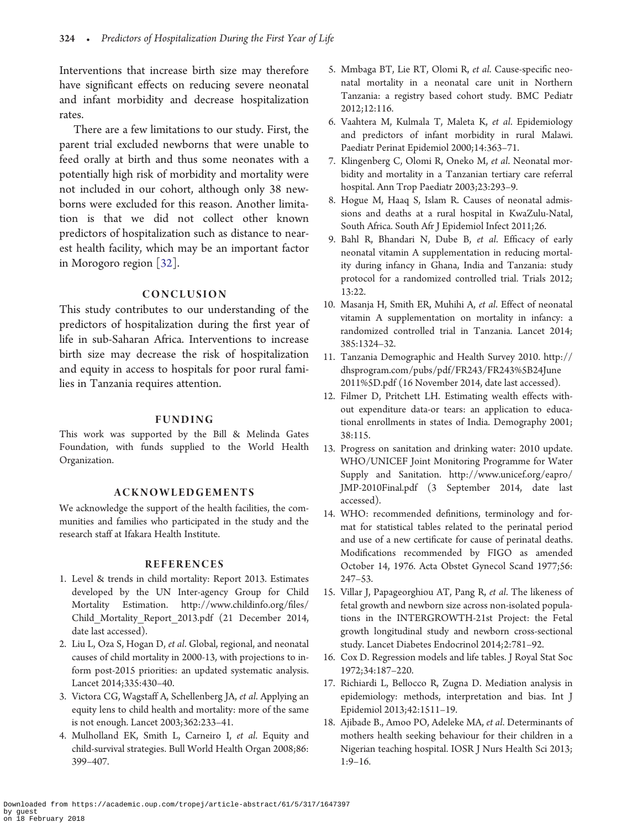<span id="page-7-0"></span>Interventions that increase birth size may therefore have significant effects on reducing severe neonatal and infant morbidity and decrease hospitalization rates.

There are a few limitations to our study. First, the parent trial excluded newborns that were unable to feed orally at birth and thus some neonates with a potentially high risk of morbidity and mortality were not included in our cohort, although only 38 newborns were excluded for this reason. Another limitation is that we did not collect other known predictors of hospitalization such as distance to nearest health facility, which may be an important factor in Morogoro region [\[32\]](#page-8-0).

#### CONCLUSION

This study contributes to our understanding of the predictors of hospitalization during the first year of life in sub-Saharan Africa. Interventions to increase birth size may decrease the risk of hospitalization and equity in access to hospitals for poor rural families in Tanzania requires attention.

#### FUNDING

This work was supported by the Bill & Melinda Gates Foundation, with funds supplied to the World Health Organization.

# ACKNOWLEDGEMENTS

We acknowledge the support of the health facilities, the communities and families who participated in the study and the research staff at Ifakara Health Institute.

#### REFERENCES

- 1. Level & trends in child mortality: Report 2013. Estimates developed by the UN Inter-agency Group for Child Mortality Estimation. [http://www.childinfo.org/files/](http://www.childinfo.org/files/Child_Mortality_Report_2013.pdf) [Child\\_Mortality\\_Report\\_2013.pdf](http://www.childinfo.org/files/Child_Mortality_Report_2013.pdf) (21 December 2014, date last accessed).
- 2. Liu L, Oza S, Hogan D, et al. Global, regional, and neonatal causes of child mortality in 2000-13, with projections to inform post-2015 priorities: an updated systematic analysis. Lancet 2014;335:430–40.
- 3. Victora CG, Wagstaff A, Schellenberg JA, et al. Applying an equity lens to child health and mortality: more of the same is not enough. Lancet 2003;362:233–41.
- 4. Mulholland EK, Smith L, Carneiro I, et al. Equity and child-survival strategies. Bull World Health Organ 2008;86: 399–407.
- 5. Mmbaga BT, Lie RT, Olomi R, et al. Cause-specific neonatal mortality in a neonatal care unit in Northern Tanzania: a registry based cohort study. BMC Pediatr 2012;12:116.
- 6. Vaahtera M, Kulmala T, Maleta K, et al. Epidemiology and predictors of infant morbidity in rural Malawi. Paediatr Perinat Epidemiol 2000;14:363–71.
- 7. Klingenberg C, Olomi R, Oneko M, et al. Neonatal morbidity and mortality in a Tanzanian tertiary care referral hospital. Ann Trop Paediatr 2003;23:293–9.
- 8. Hogue M, Haaq S, Islam R. Causes of neonatal admissions and deaths at a rural hospital in KwaZulu-Natal, South Africa. South Afr J Epidemiol Infect 2011;26.
- 9. Bahl R, Bhandari N, Dube B, et al. Efficacy of early neonatal vitamin A supplementation in reducing mortality during infancy in Ghana, India and Tanzania: study protocol for a randomized controlled trial. Trials 2012; 13:22.
- 10. Masanja H, Smith ER, Muhihi A, et al. Effect of neonatal vitamin A supplementation on mortality in infancy: a randomized controlled trial in Tanzania. Lancet 2014; 385:1324–32.
- 11. Tanzania Demographic and Health Survey 2010. [http://](http://dhsprogram.com/pubs/pdf/FR243/FR243%5B24June2011%5D.pdf) [dhsprogram.com/pubs/pdf/FR243/FR243%5B24June](http://dhsprogram.com/pubs/pdf/FR243/FR243%5B24June2011%5D.pdf) [2011%5D.pdf](http://dhsprogram.com/pubs/pdf/FR243/FR243%5B24June2011%5D.pdf) (16 November 2014, date last accessed).
- 12. Filmer D, Pritchett LH. Estimating wealth effects without expenditure data-or tears: an application to educational enrollments in states of India. Demography 2001; 38:115.
- 13. Progress on sanitation and drinking water: 2010 update. WHO/UNICEF Joint Monitoring Programme for Water Supply and Sanitation. [http://www.unicef.org/eapro/](http://www.unicef.org/eapro/JMP-2010Final.pdf) [JMP-2010Final.pdf](http://www.unicef.org/eapro/JMP-2010Final.pdf) (3 September 2014, date last accessed).
- 14. WHO: recommended definitions, terminology and format for statistical tables related to the perinatal period and use of a new certificate for cause of perinatal deaths. Modifications recommended by FIGO as amended October 14, 1976. Acta Obstet Gynecol Scand 1977;56: 247–53.
- 15. Villar J, Papageorghiou AT, Pang R, et al. The likeness of fetal growth and newborn size across non-isolated populations in the INTERGROWTH-21st Project: the Fetal growth longitudinal study and newborn cross-sectional study. Lancet Diabetes Endocrinol 2014;2:781–92.
- 16. Cox D. Regression models and life tables. J Royal Stat Soc 1972;34:187–220.
- 17. Richiardi L, Bellocco R, Zugna D. Mediation analysis in epidemiology: methods, interpretation and bias. Int J Epidemiol 2013;42:1511–19.
- 18. Ajibade B., Amoo PO, Adeleke MA, et al. Determinants of mothers health seeking behaviour for their children in a Nigerian teaching hospital. IOSR J Nurs Health Sci 2013; 1:9–16.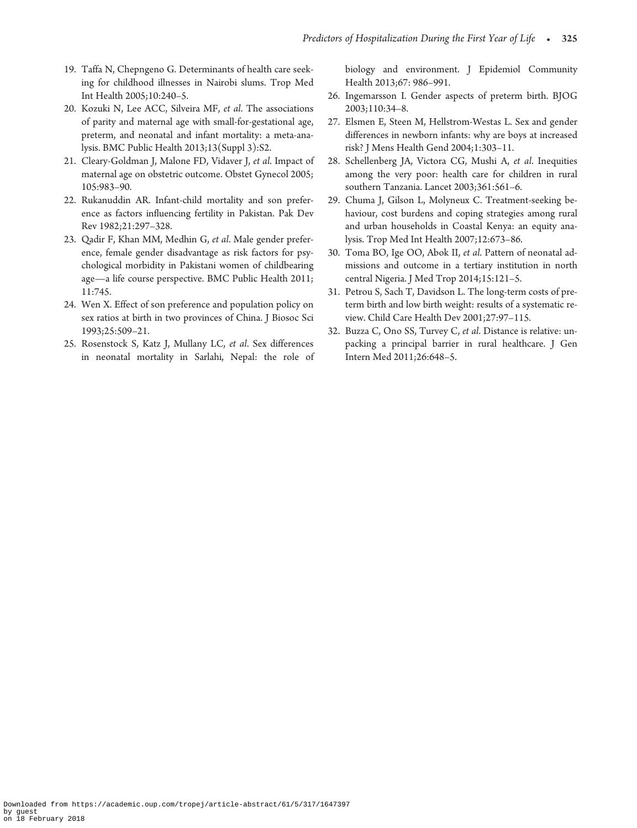- <span id="page-8-0"></span>19. Taffa N, Chepngeno G. Determinants of health care seeking for childhood illnesses in Nairobi slums. Trop Med Int Health 2005;10:240–5.
- 20. Kozuki N, Lee ACC, Silveira MF, et al. The associations of parity and maternal age with small-for-gestational age, preterm, and neonatal and infant mortality: a meta-analysis. BMC Public Health 2013;13(Suppl 3):S2.
- 21. Cleary-Goldman J, Malone FD, Vidaver J, et al. Impact of maternal age on obstetric outcome. Obstet Gynecol 2005; 105:983–90.
- 22. Rukanuddin AR. Infant-child mortality and son preference as factors influencing fertility in Pakistan. Pak Dev Rev 1982;21:297–328.
- 23. Qadir F, Khan MM, Medhin G, et al. Male gender preference, female gender disadvantage as risk factors for psychological morbidity in Pakistani women of childbearing age—a life course perspective. BMC Public Health 2011; 11:745.
- 24. Wen X. Effect of son preference and population policy on sex ratios at birth in two provinces of China. J Biosoc Sci 1993;25:509–21.
- 25. Rosenstock S, Katz J, Mullany LC, et al. Sex differences in neonatal mortality in Sarlahi, Nepal: the role of

biology and environment. J Epidemiol Community Health 2013;67: 986–991.

- 26. Ingemarsson I. Gender aspects of preterm birth. BJOG 2003;110:34–8.
- 27. Elsmen E, Steen M, Hellstrom-Westas L. Sex and gender differences in newborn infants: why are boys at increased risk? J Mens Health Gend 2004;1:303–11.
- 28. Schellenberg JA, Victora CG, Mushi A, et al. Inequities among the very poor: health care for children in rural southern Tanzania. Lancet 2003;361:561-6.
- 29. Chuma J, Gilson L, Molyneux C. Treatment-seeking behaviour, cost burdens and coping strategies among rural and urban households in Coastal Kenya: an equity analysis. Trop Med Int Health 2007;12:673–86.
- 30. Toma BO, Ige OO, Abok II, et al. Pattern of neonatal admissions and outcome in a tertiary institution in north central Nigeria. J Med Trop 2014;15:121–5.
- 31. Petrou S, Sach T, Davidson L. The long-term costs of preterm birth and low birth weight: results of a systematic review. Child Care Health Dev 2001;27:97–115.
- 32. Buzza C, Ono SS, Turvey C, et al. Distance is relative: unpacking a principal barrier in rural healthcare. J Gen Intern Med 2011;26:648–5.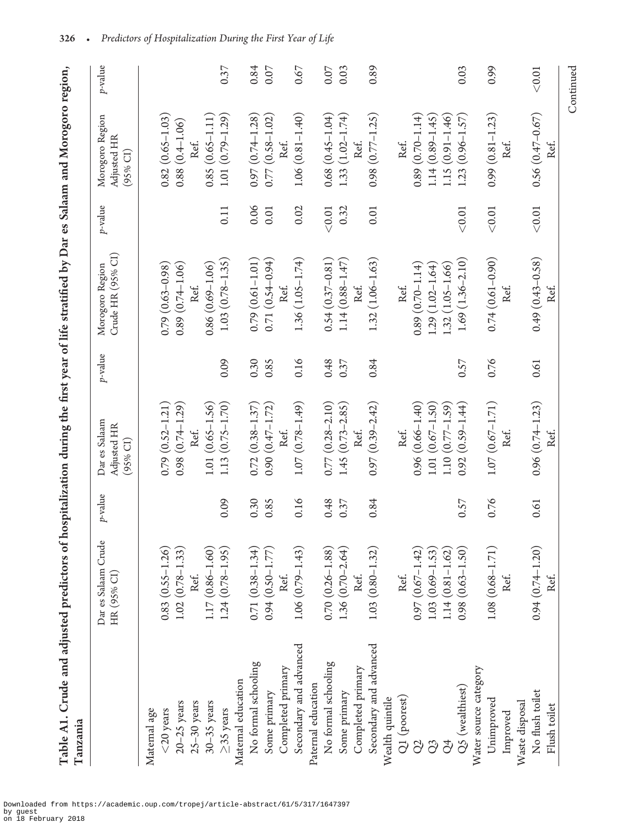<span id="page-9-0"></span>

|                                                                                                            | ֚֚֡<br>֧֚֚֚֝         |
|------------------------------------------------------------------------------------------------------------|----------------------|
|                                                                                                            |                      |
|                                                                                                            |                      |
|                                                                                                            |                      |
|                                                                                                            | .<br>.<br>.          |
|                                                                                                            |                      |
|                                                                                                            |                      |
|                                                                                                            |                      |
|                                                                                                            |                      |
|                                                                                                            |                      |
|                                                                                                            |                      |
|                                                                                                            | .<br>I               |
|                                                                                                            |                      |
|                                                                                                            |                      |
|                                                                                                            |                      |
|                                                                                                            | ׅ֚֘֒֝                |
|                                                                                                            |                      |
|                                                                                                            |                      |
|                                                                                                            |                      |
|                                                                                                            |                      |
|                                                                                                            |                      |
| edictors of hospitalization during the first year of life stratified by Dar es Salaam and Morogoro region. |                      |
|                                                                                                            |                      |
|                                                                                                            | i                    |
|                                                                                                            | $\overline{a}$       |
|                                                                                                            |                      |
|                                                                                                            |                      |
|                                                                                                            |                      |
|                                                                                                            |                      |
|                                                                                                            |                      |
|                                                                                                            |                      |
|                                                                                                            |                      |
|                                                                                                            | $\ddot{\phantom{a}}$ |
|                                                                                                            | י<br>ו               |
| 4                                                                                                          |                      |
|                                                                                                            | ļ                    |
|                                                                                                            |                      |
|                                                                                                            |                      |
|                                                                                                            |                      |
|                                                                                                            |                      |
|                                                                                                            |                      |
|                                                                                                            |                      |
|                                                                                                            |                      |
|                                                                                                            |                      |
|                                                                                                            |                      |
|                                                                                                            |                      |
|                                                                                                            |                      |

| Tanzania               |                                                                         |            |                                          |            |                                      |         |                                            |            |
|------------------------|-------------------------------------------------------------------------|------------|------------------------------------------|------------|--------------------------------------|---------|--------------------------------------------|------------|
|                        | Dar es Salaam Crude<br>HR (95% CI)                                      | $p$ -value | Dar es Salaam<br>Adjusted HR<br>(95% CI) | $p$ -value | Crude HR (95% CI)<br>Morogoro Region | p-value | Morogoro Region<br>Adjusted HR<br>(95% CI) | $p$ -value |
| Maternal age           |                                                                         |            |                                          |            |                                      |         |                                            |            |
| $<$ 20 years           | $0.83(0.55 - 1.26)$                                                     |            | $0.79(0.52 - 1.21)$                      |            | $0.79(0.63 - 0.98)$                  |         | $0.82(0.65 - 1.03)$                        |            |
| $20 - 25$ years        | $1.02(0.78-1.33)$                                                       |            | $0.98(0.74-1.29)$                        |            | $0.89(0.74 - 1.06)$                  |         | $0.88(0.4 - 1.06)$                         |            |
| $25-30$ years          | Ref.                                                                    |            | Ref.                                     |            | Ref.                                 |         | Ref.                                       |            |
| $30-35$ years          | $1.17(0.86 - 1.60)$                                                     |            | $1.01(0.65 - 1.56)$                      |            | $0.86(0.69 - 1.06)$                  |         | $0.85(0.65 - 1.11)$                        |            |
| $\geq$ 35 years        | $1.24(0.78-1.95)$                                                       | 0.09       | $1.13(0.75 - 1.70)$                      | 0.09       | $1.03(0.78 - 1.35)$                  | 0.11    | $1.01(0.79 - 1.29)$                        | 0.37       |
| Maternal education     |                                                                         |            |                                          |            |                                      |         |                                            |            |
| No formal schooling    | $0.71(0.38 - 1.34)$                                                     | 0.30       | $0.72(0.38 - 1.37)$                      | 0.30       | $0.79(0.61 - 1.01)$                  | 0.06    | $0.97(0.74 - 1.28)$                        | 0.84       |
| Some primary           | $0.94(0.50 - 1.77)$                                                     | 0.85       | $0.90(0.47 - 1.72)$                      | 0.85       | $0.71(0.54 - 0.94)$                  | 0.01    | $0.77(0.58 - 1.02)$                        | 0.07       |
| Completed primary      | Ref.                                                                    |            | Ref.                                     |            | Ref.                                 |         | Ret.                                       |            |
| Secondary and advanced | $1.06(0.79 - 1.43)$                                                     | 0.16       | $1.07(0.78 - 1.49)$                      | 0.16       | $1.36(1.05 - 1.74)$                  | 0.02    | $1.06(0.81 - 1.40)$                        | 0.67       |
| Paternal education     |                                                                         |            |                                          |            |                                      |         |                                            |            |
| No formal schooling    |                                                                         | 0.48       | $0.77(0.28 - 2.10)$                      | 0.48       | $0.54(0.37 - 0.81)$                  | $<0.01$ | $0.68(0.45 - 1.04)$                        | 0.07       |
| Some primary           | $\begin{array}{c} 0.70 \ (0.26-1.88) \\ 1.36 \ (0.70-2.64) \end{array}$ | 0.37       | $1.45(0.73 - 2.85)$                      | 0.37       | $1.14(0.88 - 1.47)$                  | 0.32    | $1.33(1.02 - 1.74)$                        | 0.03       |
| Completed primary      | Ref.                                                                    |            | Ref.                                     |            | Ref.                                 |         |                                            |            |
| Secondary and advanced | $1.03(0.80 - 1.32)$                                                     | 0.84       | $0.97(0.39 - 2.42)$                      | 0.84       | $1.32(1.06 - 1.63)$                  | 0.01    | $0.98(0.77 - 1.25)$                        | 0.89       |
| Wealth quintile        |                                                                         |            |                                          |            |                                      |         |                                            |            |
| Q1 (poorest)           | Ref.                                                                    |            | Ref.                                     |            | Ref.                                 |         | Ref.                                       |            |
| $\overline{O}$         | $0.97(0.67 - 1.42)$                                                     |            | $0.96(0.66 - 1.40)$                      |            | $0.89(0.70 - 1.14)$                  |         | $0.89(0.70 - 1.14)$                        |            |
| $\Im$                  | $1.03(0.69 - 1.53)$                                                     |            | $1.01(0.67 - 1.50)$                      |            | $1.29(1.02 - 1.64)$                  |         | $1.14(0.89 - 1.45)$                        |            |
| $\breve{\circ}$        | $1.14(0.81 - 1.62)$                                                     |            | $1.10(0.77 - 1.59)$                      |            | $1.32(1.05 - 1.66)$                  |         | $1.15(0.91 - 1.46)$                        |            |
| Q5 (wealthiest)        | $0.98(0.63 - 1.50)$                                                     | 0.57       | $0.92(0.59 - 1.44)$                      | 0.57       | $1.69(1.36-2.10)$                    | < 0.01  | $1.23(0.96 - 1.57)$                        | 0.03       |
| Water source category  |                                                                         |            |                                          |            |                                      |         |                                            |            |
| Unimproved             | $1.08(0.68 - 1.71)$                                                     | 0.76       | $1.07(0.67 - 1.71)$                      | 0.76       | $0.74(0.61 - 0.90)$                  | $<0.01$ | $0.99(0.81 - 1.23)$                        | 0.99       |
| Improved               | Ref.                                                                    |            |                                          |            |                                      |         |                                            |            |
| Waste disposal         |                                                                         |            |                                          |            |                                      |         |                                            |            |
| No flush toilet        | $0.94(0.74 - 1.20)$                                                     | 0.61       | $0.96(0.74 - 1.23)$                      | 0.61       | $0.49(0.43 - 0.58)$                  | $<0.01$ | $0.56(0.47 - 0.67)$                        | $<0.01$    |
| Flush toilet           | Ref.                                                                    |            | Ref.                                     |            | Ref.                                 |         | Ref.                                       |            |
|                        |                                                                         |            |                                          |            |                                      |         |                                            | Continued  |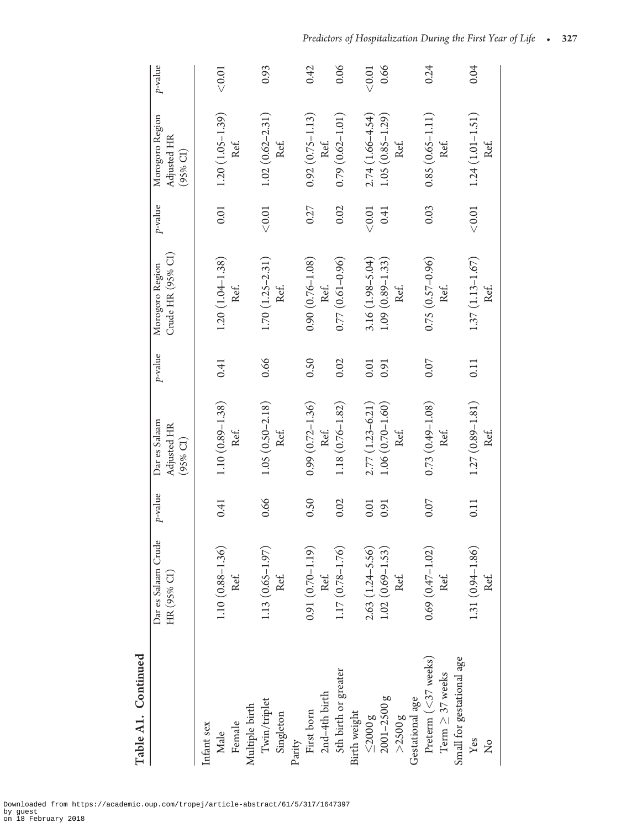| Table A1. Continued         |                                      |         |                                                    |            |                                      |           |                                                      |         |
|-----------------------------|--------------------------------------|---------|----------------------------------------------------|------------|--------------------------------------|-----------|------------------------------------------------------|---------|
|                             | Dar es Salaam Crude<br>HR (95% CI)   | p-value | Dar es Salaam<br>Adjusted HR<br>$(95% \text{ CI})$ | $p$ -value | Crude HR (95% CI)<br>Morogoro Region | p-value   | Morogoro Region<br>Adjusted HR<br>$(95% \text{ CI})$ | p-value |
| Infant sex                  |                                      |         |                                                    |            |                                      |           |                                                      |         |
| Male                        | $(0.88 - 1.36)$<br>1.10 <sub>1</sub> | 0.41    | $1.10(0.89 - 1.38)$                                | 0.41       | $1.20(1.04 - 1.38)$                  | 0.01      | $1.20(1.05 - 1.39)$                                  | $<0.01$ |
| Female                      | Ref.                                 |         | Ref.                                               |            | Ref.                                 |           | Ref.                                                 |         |
| Multiple birth              |                                      |         |                                                    |            |                                      |           |                                                      |         |
| $\mbox{{\sc Twin}/triplet}$ | $(0.65 - 1.97)$<br>1.13              | 0.66    | $1.05(0.50 - 2.18)$                                | 0.66       | $1.70(1.25 - 2.31)$                  | < 0.01    | $1.02(0.62 - 2.31)$                                  | 0.93    |
| Singleton                   | Ref.                                 |         | Ref.                                               |            | Ref.                                 |           | Ref.                                                 |         |
| Parity                      |                                      |         |                                                    |            |                                      |           |                                                      |         |
| First born                  | $(0.70 - 1.19)$<br>0.91              | 0.50    | $0.99(0.72 - 1.36)$                                | 0.50       | $0.90(0.76 - 1.08)$                  | 0.27      | $0.92(0.75 - 1.13)$                                  | 0.42    |
| 2nd-4th birth               | Ref.                                 |         | Ref.                                               |            | Ref.                                 |           | Ref.                                                 |         |
| Sth birth or greater        | $(0.78 - 1.76)$<br>1.17              | 0.02    | $1.18(0.76 - 1.82)$                                | 0.02       | $0.77(0.61 - 0.96)$                  | 0.02      | $0.79(0.62 - 1.01)$                                  | 0.06    |
| Birth weight                |                                      |         |                                                    |            |                                      |           |                                                      |         |
| $\leq$ $2000$ g             | $(1.24 - 5.56)$<br>2.63              | 0.01    | $2.77(1.23 - 6.21)$                                | 0.01       | $3.16(1.98 - 5.04)$                  | < 0.01    | $2.74(1.66 - 4.54)$                                  | < 0.01  |
| $2001 - 2500 g$             | $(0.69 - 1.53)$<br>1.02              | 0.91    | $1.06(0.70-1.60)$                                  | 0.91       | $1.09(0.89 - 1.33)$                  | 0.41      | $1.05(0.85 - 1.29)$                                  | 0.66    |
| $>$ 2500 $g$                | Ref.                                 |         | Ref.                                               |            | Ref.                                 |           | Ref.                                                 |         |
| Gestational age             |                                      |         |                                                    |            |                                      |           |                                                      |         |
| Preterm $(<$ 37 weeks)      | $(0.47 - 1.02)$<br>0.69              | 0.07    | $0.73(0.49 - 1.08)$                                | 0.07       | $0.75(0.57-0.96)$                    | 0.03      | $0.85(0.65 - 1.11)$                                  | 0.24    |
| Term $\geq 37$ weeks        | Ref.                                 |         | Ref.                                               |            | Ref.                                 |           | Ref.                                                 |         |
| Small for gestational age   |                                      |         |                                                    |            |                                      |           |                                                      |         |
| Yes                         | $(0.94 - 1.86)$<br>1.31(             | 0.11    | $1.27(0.89 - 1.81)$                                | 0.11       | $1.37(1.13 - 1.67)$                  | $<\!0.01$ | $1.24(1.01 - 1.51)$                                  | 0.04    |
| $\overline{\mathsf{z}}$     | Ref.                                 |         | Ref.                                               |            | Ref.                                 |           | Ref.                                                 |         |

Predictors of Hospitalization During the First Year of Life  $\quad$   $\bullet$   $\quad$  327  $\;$ 

Downloaded from https://academic.oup.com/tropej/article-abstract/61/5/317/1647397 by guest on 18 February 2018